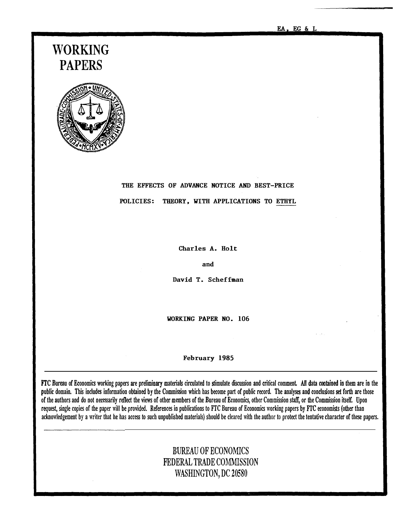EA, EG & L

# WORKING PAPERS



# THE EFFECTS OF ADVANCE NOTICE AND BEST-PRICE POLICIES: THEORY, WITH APPLICATIONS TO ETHYL

Charles A. Holt

and

David T. Scheffman

WORKING PAPER NO. 106

#### February 1985

ITC Bureau of Economics working papers are preliminary materiaf circulated to stimulate discussion and critical comment All data cootaioed io them are io the public domain. This includes information obtained by the Commission which has become part of public record. The analyses and conclusions set forth are those of the authors and do not necessarily reflect the views of other members of the Bureau of Economics, other Commission staff, or the Commission itself. Upon request, single copies of the paper will be provided. References in publications to FTC Bureau of Economics working papers by FTC economists (other than acknowledgement by a writer that he has access to such unpublished materials) should be cleared with the author to protect the tentative character of these papers.

## BUREAU OF ECONOMICS FEDERAL TRADE COMMISSION WASHINGTON, DC 20580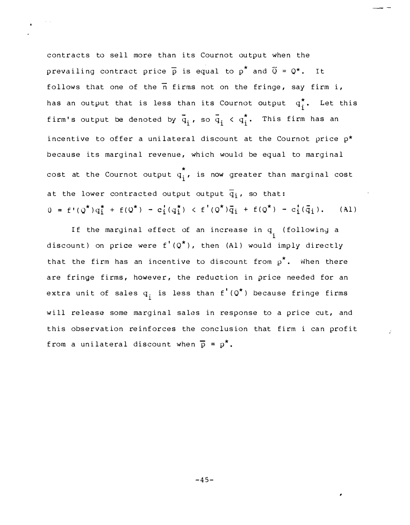contracts to sell more than its Cournot output when the prevailing contract price  $\overline{p}$  is equal to  $p^*$  and  $\overline{Q} = Q^*$ . It follows that one of the  $\overline{n}$  firms not on the fringe, say firm i, has an output that is less than its Cournot output  $\mathbf{\mathfrak{q}}_{\textbf{i}}^{\textbf{*}}$ . Let this firm's output be denoted by  $\bar{q}_i$ , so  $\bar{q}_i < q_i^\star$ . This firm has an incentive to offer a unilateral discount at the Cournot price  $p^*$ because its marginal revenue, which would be equal to marginal \* cost at the Cournot output  $q_{\textrm{\bf i}}^{\phantom{\dag}}$ , is now greater than marginal cost at the lower contracted output output  $\overline{q}_i$ , so that:  $0 = f'(\mathcal{Q}^*) q_i^* + f(\mathcal{Q}^*) - c_i' (q_i^*) < f'(\mathcal{Q}^*) \bar{q}_i + f(\mathcal{Q}^*) - c_i'(\bar{q}_i).$  (Al)

If the marginal effect of an increase in q<sub>.</sub> (following a 1 discount) on price were  $f'(Q^*)$ , then (Al) would imply directly that the firm has an incentive to discount from  $p^{\star}.$  When there are fringe firms, however, the reduction in price needed for an extra unit of sales  $q^+_i$  is less than  $f^{\, \prime} \, (Q^\star \,)$  because fringe firms will release some marginal sales in response to a price cut, and this observation reinforces the conclusion that firm i can profit from a unilateral discount when  $\bar{p} = p^*$ .

 $-45-$ 

,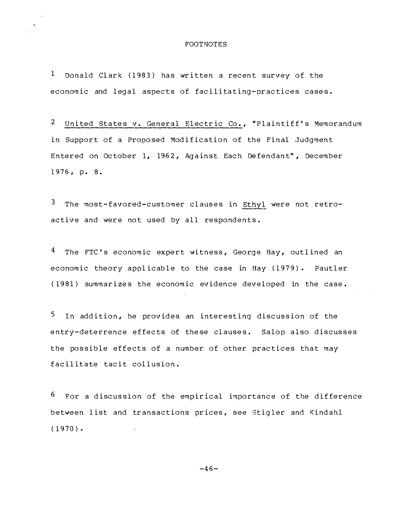#### **FOOTNOTES**

 $\mathbf{1}$ Donald Clark (1983) has written a recent survey of the economic and legal aspects of facilitating-practices cases.

 $\overline{2}$ United States v. General Electric Co., "Plaintiff's Memorandum in Support of a Proposed Modification of the Final Judgment Entered on October 1, 1962, Against Each Defendant", December 1976, p. 8.

3 The most-favored-customer clauses in Ethyl were not retroactive and were not used by all respondents.

<sup>4</sup> The FTC's economic expert witness, George Hay, outlined an economic theory applicable to the case in Hay (1979). Pautler (1981) summarizes the economic evidence developed in the case.

5 In addition, he provides an interesting discussion of the entry-deterrence effects of these clauses. Salop also discusses the possible effects of a number of other practices that may facilitate tacit collusion.

6 For a discussion of the empirical importance of the difference between list and transactions prices, see Stigler and Kindahl  $(1970)$ .

 $-46-$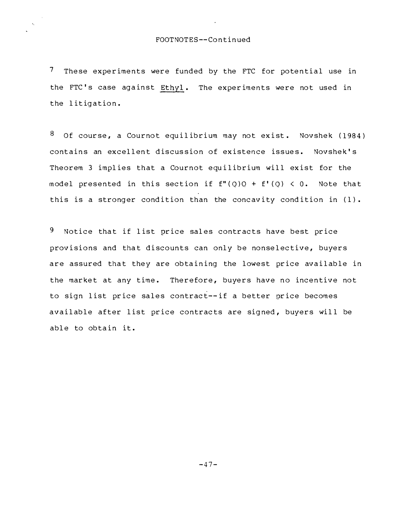7 These experiments were funded by the FTC for potential use in the FTC's case against Ethyl. The experiments were not used in the litigation.

8 Of course, a Cournot equilibrium may not exist. Novshek (1984) contains an excellent discussion of existence issues. Novshek's Theorem 3 implies that a Cournot equilibrium will exist for the model presented in this section if  $f''(Q)Q + f'(Q) < 0$ . Note that this is a stronger condition than the concavity condition in (1).

9 Notice that if list price sales contracts have best price provisions and that discounts can only be nonselective, buyers are assured that they are obtaining the lowest price available in the market at any time. Therefore, buyers have no incentive not to sign list price sales contract--if a better price becomes available after list price contracts are signed, buyers will be able to obtain it.

 $-47-$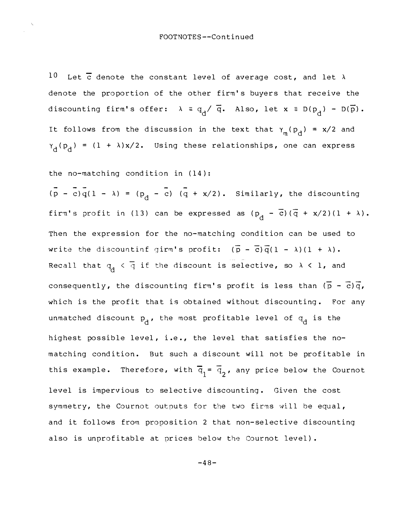Let  $\overline{c}$  denote the constant level of average cost, and let  $\lambda$  $10$ denote the proportion of the other firm's buyers that receive the discounting firm's offer:  $\lambda = q_d / \overline{q}$ . Also, let  $x = D(p_d) - D(\overline{p})$ . It follows from the discussion in the text that  $\gamma_m(p_d) = x/2$  and  $\gamma_d(p_d) = (1 + \lambda)x/2$ . Using these relationships, one can express

the no-matching condition in (14):

 $(\overline{p} - \overline{c})\overline{q}(1 - \lambda) = (p_{\overline{d}} - \overline{c}) (\overline{q} + \frac{x}{2})$ . Similarly, the discounting firm's profit in (13) can be expressed as  $(p_d - \overline{c})(\overline{q} + x/2)(1 + \lambda)$ . Then the expression for the no-matching condition can be used to write the discountinf girm's profit:  $(\overline{p} - \overline{c})\overline{q}(1 - \lambda)(1 + \lambda)$ . Recall that  $q_d < \overline{q}$  if the discount is selective, so  $\lambda < 1$ , and consequently, the discounting firm's profit is less than  $(\overline{p} - \overline{c})\overline{q}$ , which is the profit that is obtained without discounting. For any unmatched discount  $p_d$ , the most profitable level of  $q_d$  is the highest possible level, i.e., the level that satisfies the nomatching condition. But such a discount will not be profitable in this example. Therefore, with  $\overline{q}_1 = \overline{q}_2$ , any price below the Cournot level is impervious to selective discounting. Given the cost symmetry, the Cournot outputs for the two firms will be equal, and it follows from proposition 2 that non-selective discounting also is unprofitable at prices below the Cournot level).

 $-48-$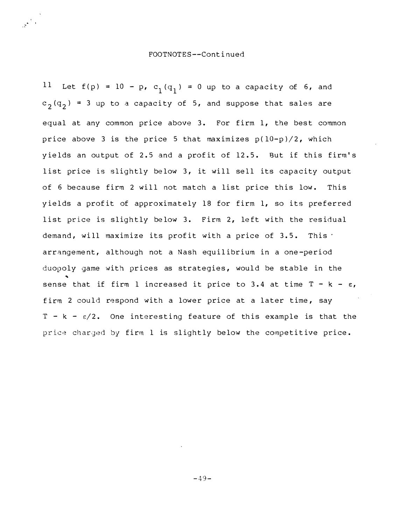### FOOTNOTES--Cont i nued

 $\hat{\vec{x}}^{(k)}$ 

11 Let  $f(p) = 10 - p$ ,  $c_1(q_1) = 0$  up to a capacity of 6, and  $c_2(q_2)$  = 3 up to a capacity of 5, and suppose that sales are equal at any common price above 3. For firm 1, the best common price above 3 is the price 5 that maximizes  $p(10-p)/2$ , which yields an output of 2.5 and a profit of 12.5. But if this firm's list price is slightly below 3, it will sell its capacity output of 6 because firm 2 will not match a list price this low. This yields a profit of approximately 18 for firm 1, so its preferred list price is slightly below 3. Firm 2, left with the residual demand, will maximize its profit with a price of  $3.5$ . This  $\cdot$ arrangement, although not a Nash equilibrium in a one-period duopoly game with prices as strategies, would be stable in the sense that if firm 1 increased it price to 3.4 at time  $T - k - \varepsilon$ , firm 2 could respond with a lower price at a later time, say T - k -  $\varepsilon/2$ . One interesting feature of this example is that the price charged by firm 1 is slightly below the competitive price.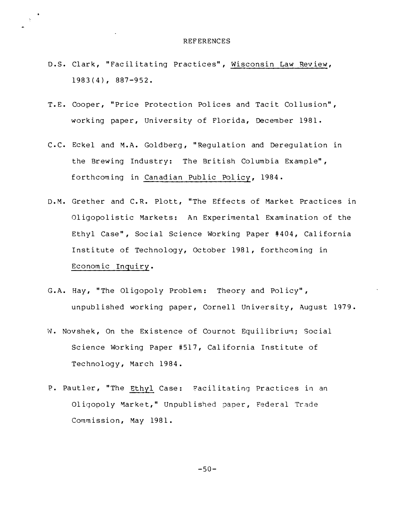### **REFERENCES**

D.S. Clark, "Facilitating Practices", Wisconsin Law Review,  $1983(4)$ , 887-952.

 $\sim$ 

 $\mathcal{Z}^{\pm}$ 

- T.E. Cooper, "Price Protection Polices and Tacit Collusion", working paper, University of Florida, December 1981.
- C.C. Eckel and M.A. Goldberg, "Regulation and Deregulation in the Brewing Industry: The British Columbia Example", forthcoming in Canadian Public Policy, 1984.
- D.M. Grether and C.R. Plott, "The Effects of Market Practices in Oligopolistic Markets: An Experimental Examination of the Ethyl Case", Social Science Working Paper #404, California Institute of Technology, October 1981, forthcoming in Economic Inquiry.
- G.A. Hay, "The Oligopoly Problem: Theory and Policy", unpublished working paper, Cornell University, August 1979.
- W. Novshek, On the Existence of Cournot Equilibrium; Social Science Working Paper #517, California Institute of Technology, March 1984.
- P. Pautler, "The Ethyl Case: Facilitating Practices in an Oligopoly Market," Unpublished paper, Federal Trade Commission, May 1981.

 $-50-$